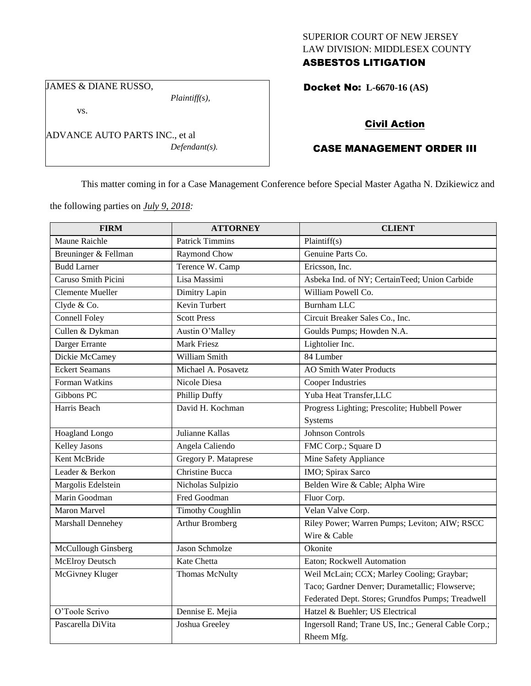## SUPERIOR COURT OF NEW JERSEY LAW DIVISION: MIDDLESEX COUNTY ASBESTOS LITIGATION

JAMES & DIANE RUSSO,

vs.

*Plaintiff(s),*

*Defendant(s).*

Docket No: **L-6670-16 (AS)** 

## Civil Action

# CASE MANAGEMENT ORDER III

This matter coming in for a Case Management Conference before Special Master Agatha N. Dzikiewicz and

the following parties on *July 9, 2018:*

ADVANCE AUTO PARTS INC., et al

| <b>FIRM</b>             | <b>ATTORNEY</b>         | <b>CLIENT</b>                                        |  |
|-------------------------|-------------------------|------------------------------------------------------|--|
| <b>Maune Raichle</b>    | <b>Patrick Timmins</b>  | Plaintiff(s)                                         |  |
| Breuninger & Fellman    | Raymond Chow            | Genuine Parts Co.                                    |  |
| <b>Budd Larner</b>      | Terence W. Camp         | Ericsson, Inc.                                       |  |
| Caruso Smith Picini     | Lisa Massimi            | Asbeka Ind. of NY; CertainTeed; Union Carbide        |  |
| <b>Clemente Mueller</b> | Dimitry Lapin           | William Powell Co.                                   |  |
| Clyde & Co.             | Kevin Turbert           | <b>Burnham LLC</b>                                   |  |
| <b>Connell Foley</b>    | <b>Scott Press</b>      | Circuit Breaker Sales Co., Inc.                      |  |
| Cullen & Dykman         | Austin O'Malley         | Goulds Pumps; Howden N.A.                            |  |
| Darger Errante          | <b>Mark Friesz</b>      | Lightolier Inc.                                      |  |
| Dickie McCamey          | William Smith           | 84 Lumber                                            |  |
| <b>Eckert Seamans</b>   | Michael A. Posavetz     | <b>AO Smith Water Products</b>                       |  |
| Forman Watkins          | Nicole Diesa            | <b>Cooper Industries</b>                             |  |
| Gibbons PC              | Phillip Duffy           | Yuba Heat Transfer, LLC                              |  |
| Harris Beach            | David H. Kochman        | Progress Lighting; Prescolite; Hubbell Power         |  |
|                         |                         | Systems                                              |  |
| <b>Hoagland Longo</b>   | Julianne Kallas         | Johnson Controls                                     |  |
| <b>Kelley Jasons</b>    | Angela Caliendo         | FMC Corp.; Square D                                  |  |
| Kent McBride            | Gregory P. Mataprese    | Mine Safety Appliance                                |  |
| Leader & Berkon         | Christine Bucca         | IMO; Spirax Sarco                                    |  |
| Margolis Edelstein      | Nicholas Sulpizio       | Belden Wire & Cable; Alpha Wire                      |  |
| Marin Goodman           | Fred Goodman            | Fluor Corp.                                          |  |
| <b>Maron Marvel</b>     | <b>Timothy Coughlin</b> | Velan Valve Corp.                                    |  |
| Marshall Dennehey       | <b>Arthur Bromberg</b>  | Riley Power; Warren Pumps; Leviton; AIW; RSCC        |  |
|                         |                         | Wire & Cable                                         |  |
| McCullough Ginsberg     | <b>Jason Schmolze</b>   | Okonite                                              |  |
| McElroy Deutsch         | Kate Chetta             | Eaton; Rockwell Automation                           |  |
| McGivney Kluger         | Thomas McNulty          | Weil McLain; CCX; Marley Cooling; Graybar;           |  |
|                         |                         | Taco; Gardner Denver; Durametallic; Flowserve;       |  |
|                         |                         | Federated Dept. Stores; Grundfos Pumps; Treadwell    |  |
| O'Toole Scrivo          | Dennise E. Mejia        | Hatzel & Buehler; US Electrical                      |  |
| Pascarella DiVita       | Joshua Greeley          | Ingersoll Rand; Trane US, Inc.; General Cable Corp.; |  |
|                         |                         | Rheem Mfg.                                           |  |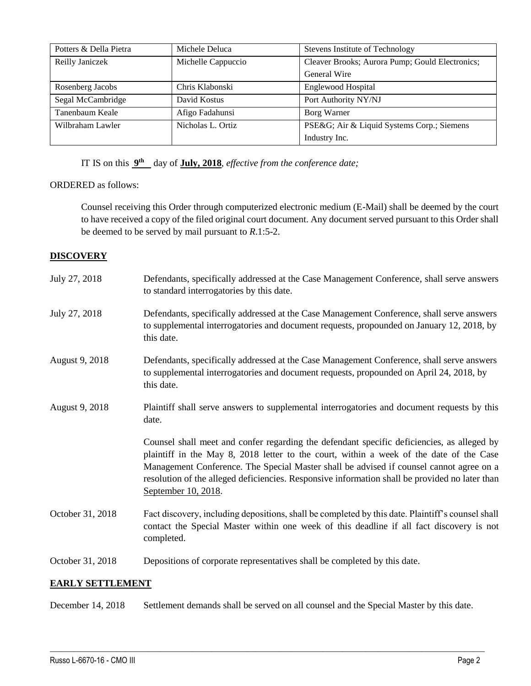| Potters & Della Pietra | Michele Deluca     | Stevens Institute of Technology                 |  |
|------------------------|--------------------|-------------------------------------------------|--|
| Reilly Janiczek        | Michelle Cappuccio | Cleaver Brooks; Aurora Pump; Gould Electronics; |  |
|                        |                    | General Wire                                    |  |
| Rosenberg Jacobs       | Chris Klabonski    | <b>Englewood Hospital</b>                       |  |
| Segal McCambridge      | David Kostus       | Port Authority NY/NJ                            |  |
| Tanenbaum Keale        | Afigo Fadahunsi    | Borg Warner                                     |  |
| Wilbraham Lawler       | Nicholas L. Ortiz  | PSE&G Air & Liquid Systems Corp.; Siemens       |  |
|                        |                    | Industry Inc.                                   |  |

IT IS on this  $9<sup>th</sup>$  day of **July, 2018**, *effective from the conference date*;

#### ORDERED as follows:

Counsel receiving this Order through computerized electronic medium (E-Mail) shall be deemed by the court to have received a copy of the filed original court document. Any document served pursuant to this Order shall be deemed to be served by mail pursuant to *R*.1:5-2.

#### **DISCOVERY**

| July 27, 2018    | Defendants, specifically addressed at the Case Management Conference, shall serve answers<br>to standard interrogatories by this date.                                                                                                                                                                                                                                                                    |
|------------------|-----------------------------------------------------------------------------------------------------------------------------------------------------------------------------------------------------------------------------------------------------------------------------------------------------------------------------------------------------------------------------------------------------------|
| July 27, 2018    | Defendants, specifically addressed at the Case Management Conference, shall serve answers<br>to supplemental interrogatories and document requests, propounded on January 12, 2018, by<br>this date.                                                                                                                                                                                                      |
| August 9, 2018   | Defendants, specifically addressed at the Case Management Conference, shall serve answers<br>to supplemental interrogatories and document requests, propounded on April 24, 2018, by<br>this date.                                                                                                                                                                                                        |
| August 9, 2018   | Plaintiff shall serve answers to supplemental interrogatories and document requests by this<br>date.                                                                                                                                                                                                                                                                                                      |
|                  | Counsel shall meet and confer regarding the defendant specific deficiencies, as alleged by<br>plaintiff in the May 8, 2018 letter to the court, within a week of the date of the Case<br>Management Conference. The Special Master shall be advised if counsel cannot agree on a<br>resolution of the alleged deficiencies. Responsive information shall be provided no later than<br>September 10, 2018. |
| October 31, 2018 | Fact discovery, including depositions, shall be completed by this date. Plaintiff's counsel shall<br>contact the Special Master within one week of this deadline if all fact discovery is not<br>completed.                                                                                                                                                                                               |
| October 31, 2018 | Depositions of corporate representatives shall be completed by this date.                                                                                                                                                                                                                                                                                                                                 |

## **EARLY SETTLEMENT**

December 14, 2018 Settlement demands shall be served on all counsel and the Special Master by this date.

 $\_$  ,  $\_$  ,  $\_$  ,  $\_$  ,  $\_$  ,  $\_$  ,  $\_$  ,  $\_$  ,  $\_$  ,  $\_$  ,  $\_$  ,  $\_$  ,  $\_$  ,  $\_$  ,  $\_$  ,  $\_$  ,  $\_$  ,  $\_$  ,  $\_$  ,  $\_$  ,  $\_$  ,  $\_$  ,  $\_$  ,  $\_$  ,  $\_$  ,  $\_$  ,  $\_$  ,  $\_$  ,  $\_$  ,  $\_$  ,  $\_$  ,  $\_$  ,  $\_$  ,  $\_$  ,  $\_$  ,  $\_$  ,  $\_$  ,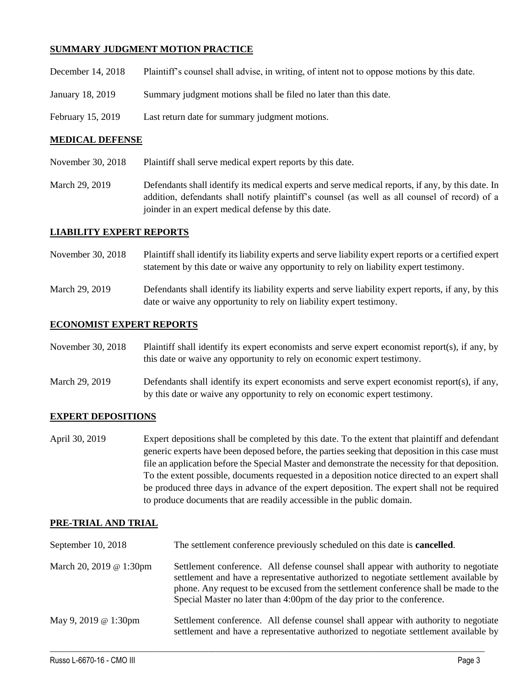## **SUMMARY JUDGMENT MOTION PRACTICE**

| December 14, 2018 | Plaintiff's counsel shall advise, in writing, of intent not to oppose motions by this date. |  |  |
|-------------------|---------------------------------------------------------------------------------------------|--|--|
|                   |                                                                                             |  |  |

- January 18, 2019 Summary judgment motions shall be filed no later than this date.
- February 15, 2019 Last return date for summary judgment motions.

#### **MEDICAL DEFENSE**

- November 30, 2018 Plaintiff shall serve medical expert reports by this date.
- March 29, 2019 Defendants shall identify its medical experts and serve medical reports, if any, by this date. In addition, defendants shall notify plaintiff's counsel (as well as all counsel of record) of a joinder in an expert medical defense by this date.

#### **LIABILITY EXPERT REPORTS**

- November 30, 2018 Plaintiff shall identify its liability experts and serve liability expert reports or a certified expert statement by this date or waive any opportunity to rely on liability expert testimony.
- March 29, 2019 Defendants shall identify its liability experts and serve liability expert reports, if any, by this date or waive any opportunity to rely on liability expert testimony.

## **ECONOMIST EXPERT REPORTS**

| November 30, 2018 | Plaintiff shall identify its expert economists and serve expert economist report(s), if any, by |
|-------------------|-------------------------------------------------------------------------------------------------|
|                   | this date or waive any opportunity to rely on economic expert testimony.                        |

March 29, 2019 Defendants shall identify its expert economists and serve expert economist report(s), if any, by this date or waive any opportunity to rely on economic expert testimony.

## **EXPERT DEPOSITIONS**

April 30, 2019 Expert depositions shall be completed by this date. To the extent that plaintiff and defendant generic experts have been deposed before, the parties seeking that deposition in this case must file an application before the Special Master and demonstrate the necessity for that deposition. To the extent possible, documents requested in a deposition notice directed to an expert shall be produced three days in advance of the expert deposition. The expert shall not be required to produce documents that are readily accessible in the public domain.

#### **PRE-TRIAL AND TRIAL**

| September 10, 2018      | The settlement conference previously scheduled on this date is <b>cancelled</b> .                                                                                                                                                                                                                                                              |
|-------------------------|------------------------------------------------------------------------------------------------------------------------------------------------------------------------------------------------------------------------------------------------------------------------------------------------------------------------------------------------|
| March 20, 2019 @ 1:30pm | Settlement conference. All defense counsel shall appear with authority to negotiate<br>settlement and have a representative authorized to negotiate settlement available by<br>phone. Any request to be excused from the settlement conference shall be made to the<br>Special Master no later than 4:00pm of the day prior to the conference. |
| May 9, 2019 @ 1:30pm    | Settlement conference. All defense counsel shall appear with authority to negotiate<br>settlement and have a representative authorized to negotiate settlement available by                                                                                                                                                                    |

 $\_$  ,  $\_$  ,  $\_$  ,  $\_$  ,  $\_$  ,  $\_$  ,  $\_$  ,  $\_$  ,  $\_$  ,  $\_$  ,  $\_$  ,  $\_$  ,  $\_$  ,  $\_$  ,  $\_$  ,  $\_$  ,  $\_$  ,  $\_$  ,  $\_$  ,  $\_$  ,  $\_$  ,  $\_$  ,  $\_$  ,  $\_$  ,  $\_$  ,  $\_$  ,  $\_$  ,  $\_$  ,  $\_$  ,  $\_$  ,  $\_$  ,  $\_$  ,  $\_$  ,  $\_$  ,  $\_$  ,  $\_$  ,  $\_$  ,